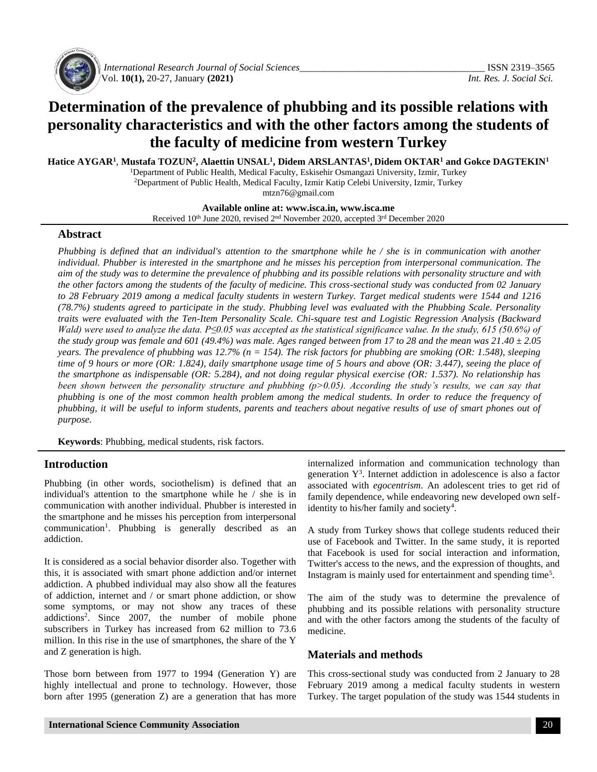

*International Research Journal of Social Sciences\_\_\_\_\_\_\_\_\_\_\_\_\_\_\_\_\_\_\_\_\_\_\_\_\_\_\_\_\_\_\_\_\_\_\_\_\_\_* ISSN 2319–3565 Vol. **10(1),** 20-27, January **(2021)** *Int. Res. J. Social Sci.*

# **Determination of the prevalence of phubbing and its possible relations with personality characteristics and with the other factors among the students of the faculty of medicine from western Turkey**

**Hatice AYGAR<sup>1</sup>** , **Mustafa TOZUN<sup>2</sup> , Alaettin UNSAL<sup>1</sup> , Didem ARSLANTAS<sup>1</sup> , Didem OKTAR<sup>1</sup> and Gokce DAGTEKIN<sup>1</sup>**

<sup>1</sup>Department of Public Health, Medical Faculty, Eskisehir Osmangazi University, Izmir, Turkey <sup>2</sup>Department of Public Health, Medical Faculty, Izmir Katip Celebi University, Izmir, Turkey mtzn76@gmail.com

**Available online at: [www.isca.in,](http://www.isca.in/) www.isca.me** Received 10<sup>th</sup> June 2020, revised 2<sup>nd</sup> November 2020, accepted 3<sup>rd</sup> December 2020

### **Abstract**

*Phubbing is defined that an individual's attention to the smartphone while he / she is in communication with another individual. Phubber is interested in the smartphone and he misses his perception from interpersonal communication. The aim of the study was to determine the prevalence of phubbing and its possible relations with personality structure and with the other factors among the students of the faculty of medicine. This cross-sectional study was conducted from 02 January to 28 February 2019 among a medical faculty students in western Turkey. Target medical students were 1544 and 1216 (78.7%) students agreed to participate in the study. Phubbing level was evaluated with the Phubbing Scale. Personality traits were evaluated with the Ten-Item Personality Scale. Chi-square test and Logistic Regression Analysis (Backward Wald)* were used to analyze the data. P≤0.05 was accepted as the statistical significance value. In the study, 615 (50.6%) of *the study group was female and 601 (49.4%) was male. Ages ranged between from 17 to 28 and the mean was 21.40 ± 2.05 years. The prevalence of phubbing was 12.7% (n = 154). The risk factors for phubbing are smoking (OR: 1.548), sleeping time of 9 hours or more (OR: 1.824), daily smartphone usage time of 5 hours and above (OR: 3.447), seeing the place of the smartphone as indispensable (OR: 5.284), and not doing regular physical exercise (OR: 1.537). No relationship has been shown between the personality structure and phubbing (p>0.05). According the study's results, we can say that phubbing is one of the most common health problem among the medical students. In order to reduce the frequency of phubbing, it will be useful to inform students, parents and teachers about negative results of use of smart phones out of purpose.*

**Keywords**: Phubbing, medical students, risk factors.

## **Introduction**

Phubbing (in other words, sociothelism) is defined that an individual's attention to the smartphone while he / she is in communication with another individual. Phubber is interested in the smartphone and he misses his perception from interpersonal communication<sup>1</sup>. Phubbing is generally described as an addiction.

It is considered as a social behavior disorder also. Together with this, it is associated with smart phone addiction and/or internet addiction. A phubbed individual may also show all the features of addiction, internet and / or smart phone addiction, or show some symptoms, or may not show any traces of these addictions<sup>2</sup> . Since 2007, the number of mobile phone subscribers in Turkey has increased from 62 million to 73.6 million. In this rise in the use of smartphones, the share of the Y and Z generation is high.

Those born between from 1977 to 1994 (Generation Y) are highly intellectual and prone to technology. However, those born after 1995 (generation Z) are a generation that has more internalized information and communication technology than generation  $Y<sup>3</sup>$ . Internet addiction in adolescence is also a factor associated with *egocentrism*. An adolescent tries to get rid of family dependence, while endeavoring new developed own selfidentity to his/her family and society<sup>4</sup>.

A study from Turkey shows that college students reduced their use of Facebook and Twitter. In the same study, it is reported that Facebook is used for social interaction and information, Twitter's access to the news, and the expression of thoughts, and Instagram is mainly used for entertainment and spending time<sup>5</sup>.

The aim of the study was to determine the prevalence of phubbing and its possible relations with personality structure and with the other factors among the students of the faculty of medicine.

## **Materials and methods**

This cross-sectional study was conducted from 2 January to 28 February 2019 among a medical faculty students in western Turkey. The target population of the study was 1544 students in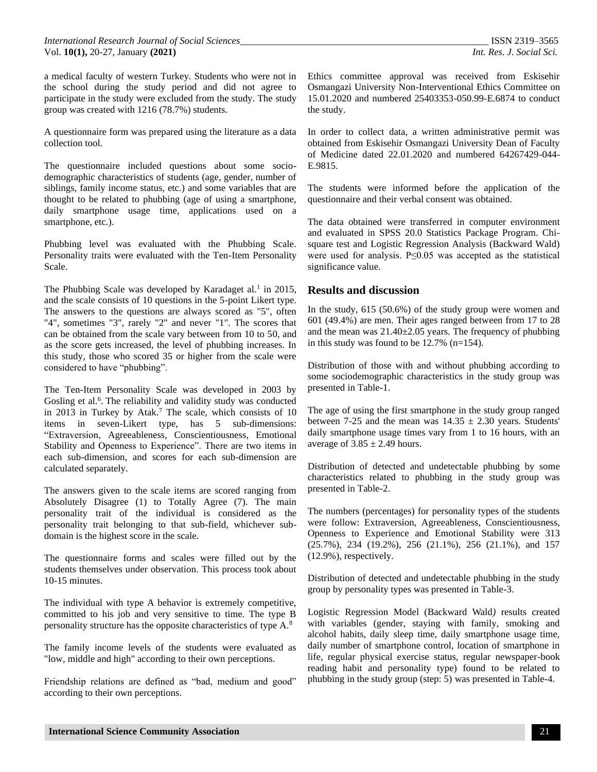a medical faculty of western Turkey. Students who were not in the school during the study period and did not agree to participate in the study were excluded from the study. The study group was created with 1216 (78.7%) students.

A questionnaire form was prepared using the literature as a data collection tool.

The questionnaire included questions about some sociodemographic characteristics of students (age, gender, number of siblings, family income status, etc.) and some variables that are thought to be related to phubbing (age of using a smartphone, daily smartphone usage time, applications used on a smartphone, etc.).

Phubbing level was evaluated with the Phubbing Scale. Personality traits were evaluated with the Ten-Item Personality Scale.

The Phubbing Scale was developed by Karadaget al.<sup>1</sup> in 2015, and the scale consists of 10 questions in the 5-point Likert type. The answers to the questions are always scored as "5", often "4", sometimes "3", rarely "2" and never "1". The scores that can be obtained from the scale vary between from 10 to 50, and as the score gets increased, the level of phubbing increases. In this study, those who scored 35 or higher from the scale were considered to have "phubbing".

The Ten-Item Personality Scale was developed in 2003 by Gosling et al.<sup>6</sup>. The reliability and validity study was conducted in 2013 in Turkey by Atak.<sup>7</sup> The scale, which consists of 10 items in seven-Likert type, has 5 sub-dimensions: "Extraversion, Agreeableness, Conscientiousness, Emotional Stability and Openness to Experience". There are two items in each sub-dimension, and scores for each sub-dimension are calculated separately.

The answers given to the scale items are scored ranging from Absolutely Disagree (1) to Totally Agree (7). The main personality trait of the individual is considered as the personality trait belonging to that sub-field, whichever subdomain is the highest score in the scale.

The questionnaire forms and scales were filled out by the students themselves under observation. This process took about 10-15 minutes.

The individual with type A behavior is extremely competitive, committed to his job and very sensitive to time. The type B personality structure has the opposite characteristics of type A.<sup>8</sup>

The family income levels of the students were evaluated as "low, middle and high" according to their own perceptions.

Friendship relations are defined as "bad, medium and good" according to their own perceptions.

Ethics committee approval was received from Eskisehir Osmangazi University Non-Interventional Ethics Committee on 15.01.2020 and numbered 25403353-050.99-E.6874 to conduct the study.

In order to collect data, a written administrative permit was obtained from Eskisehir Osmangazi University Dean of Faculty of Medicine dated 22.01.2020 and numbered 64267429-044- E.9815.

The students were informed before the application of the questionnaire and their verbal consent was obtained.

The data obtained were transferred in computer environment and evaluated in SPSS 20.0 Statistics Package Program. Chisquare test and Logistic Regression Analysis (Backward Wald) were used for analysis. P≤0.05 was accepted as the statistical significance value.

# **Results and discussion**

In the study, 615 (50.6%) of the study group were women and 601 (49.4%) are men. Their ages ranged between from 17 to 28 and the mean was  $21.40\pm2.05$  years. The frequency of phubbing in this study was found to be 12.7% (n=154).

Distribution of those with and without phubbing according to some sociodemographic characteristics in the study group was presented in Table-1.

The age of using the first smartphone in the study group ranged between 7-25 and the mean was  $14.35 \pm 2.30$  years. Students' daily smartphone usage times vary from 1 to 16 hours, with an average of  $3.85 \pm 2.49$  hours.

Distribution of detected and undetectable phubbing by some characteristics related to phubbing in the study group was presented in Table-2.

The numbers (percentages) for personality types of the students were follow: Extraversion, Agreeableness, Conscientiousness, Openness to Experience and Emotional Stability were 313 (25.7%), 234 (19.2%), 256 (21.1%), 256 (21.1%), and 157 (12.9%), respectively.

Distribution of detected and undetectable phubbing in the study group by personality types was presented in Table-3.

Logistic Regression Model (Backward Wald*)* results created with variables (gender, staying with family, smoking and alcohol habits, daily sleep time, daily smartphone usage time, daily number of smartphone control, location of smartphone in life, regular physical exercise status, regular newspaper-book reading habit and personality type) found to be related to phubbing in the study group (step: 5) was presented in Table-4.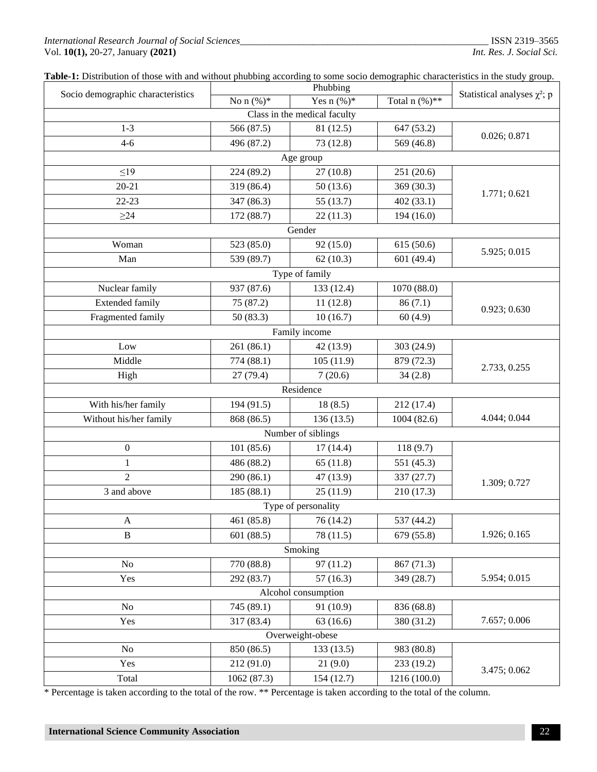#### *International Research Journal of Social Sciences\_\_\_\_\_\_\_\_\_\_\_\_\_\_\_\_\_\_\_\_\_\_\_\_\_\_\_\_\_\_\_\_\_\_\_\_\_\_\_\_\_\_\_\_\_\_\_\_\_\_\_* ISSN 2319–3565 Vol. **10(1),** 20-27, January **(2021)** *Int. Res. J. Social Sci.*

| Table-1: Distribution of those with and without phubbing according to some socio demographic characteristics in the study group. |  |  |
|----------------------------------------------------------------------------------------------------------------------------------|--|--|

|                                   |              | Phubbing       |                 |                                   |  |  |
|-----------------------------------|--------------|----------------|-----------------|-----------------------------------|--|--|
| Socio demographic characteristics | No $n (%)^*$ | Yes $n (\%)^*$ | Total $n$ (%)** | Statistical analyses $\chi^2$ ; p |  |  |
| Class in the medical faculty      |              |                |                 |                                   |  |  |
| $1 - 3$                           | 566 (87.5)   | 81 (12.5)      | 647 (53.2)      | 0.026; 0.871                      |  |  |
| $4 - 6$                           | 496 (87.2)   | 73 (12.8)      | 569 (46.8)      |                                   |  |  |
|                                   |              | Age group      |                 |                                   |  |  |
| $\leq$ 19                         | 224 (89.2)   | 27(10.8)       | 251 (20.6)      |                                   |  |  |
| $20 - 21$                         | 319 (86.4)   | 50(13.6)       | 369 (30.3)      | 1.771; 0.621                      |  |  |
| $22 - 23$                         | 347 (86.3)   | 55 (13.7)      | 402 (33.1)      |                                   |  |  |
| $\geq$ 24                         | 172 (88.7)   | 22(11.3)       | 194 (16.0)      |                                   |  |  |
|                                   |              | Gender         |                 |                                   |  |  |
| Woman                             | 523 (85.0)   | 92 (15.0)      | 615 (50.6)      |                                   |  |  |
| Man                               | 539 (89.7)   | 62(10.3)       | 601 (49.4)      | 5.925; 0.015                      |  |  |
|                                   |              | Type of family |                 |                                   |  |  |
| Nuclear family                    | 937 (87.6)   | 133 (12.4)     | 1070 (88.0)     |                                   |  |  |
| <b>Extended family</b>            | 75 (87.2)    | 11(12.8)       | 86(7.1)         | 0.923; 0.630                      |  |  |
| Fragmented family                 | 50(83.3)     | 10(16.7)       | 60(4.9)         |                                   |  |  |
| Family income                     |              |                |                 |                                   |  |  |
| Low                               | 261 (86.1)   | 42 (13.9)      | 303 (24.9)      |                                   |  |  |
| Middle                            | 774 (88.1)   | 105(11.9)      | 879 (72.3)      |                                   |  |  |
| High                              | 27(79.4)     | 7(20.6)        | 34(2.8)         | 2.733, 0.255                      |  |  |
| Residence                         |              |                |                 |                                   |  |  |
| With his/her family               | 194 (91.5)   | 18(8.5)        | 212 (17.4)      |                                   |  |  |
| Without his/her family            | 868 (86.5)   | 136(13.5)      | 1004 (82.6)     | 4.044; 0.044                      |  |  |
| Number of siblings                |              |                |                 |                                   |  |  |
| $\boldsymbol{0}$                  | 101(85.6)    | 17(14.4)       | 118(9.7)        |                                   |  |  |
| 1                                 | 486 (88.2)   | 65(11.8)       | 551 (45.3)      |                                   |  |  |
| $\overline{2}$                    | 290 (86.1)   | 47 (13.9)      | 337 (27.7)      | 1.309; 0.727                      |  |  |
| 3 and above                       | 185 (88.1)   | 25(11.9)       | 210 (17.3)      |                                   |  |  |
| Type of personality               |              |                |                 |                                   |  |  |
| A                                 | 461 (85.8)   | 76 (14.2)      | 537 (44.2)      |                                   |  |  |
| $\, {\bf B}$                      | 601 (88.5)   | 78 (11.5)      | 679 (55.8)      | 1.926; 0.165                      |  |  |
| Smoking                           |              |                |                 |                                   |  |  |
| N <sub>o</sub>                    | 770 (88.8)   | 97(11.2)       | 867 (71.3)      |                                   |  |  |
| Yes                               | 292 (83.7)   | 57(16.3)       | 349 (28.7)      | 5.954; 0.015                      |  |  |
| Alcohol consumption               |              |                |                 |                                   |  |  |
| No                                | 745 (89.1)   | 91 (10.9)      | 836 (68.8)      |                                   |  |  |
| Yes                               | 317 (83.4)   | 63(16.6)       | 380 (31.2)      | 7.657; 0.006                      |  |  |
| Overweight-obese                  |              |                |                 |                                   |  |  |
| N <sub>o</sub>                    | 850 (86.5)   | 133(13.5)      | 983 (80.8)      |                                   |  |  |
| Yes                               | 212 (91.0)   | 21(9.0)        | 233 (19.2)      | 3.475; 0.062                      |  |  |
| Total                             | 1062 (87.3)  | 154(12.7)      | 1216 (100.0)    |                                   |  |  |

\* Percentage is taken according to the total of the row. \*\* Percentage is taken according to the total of the column.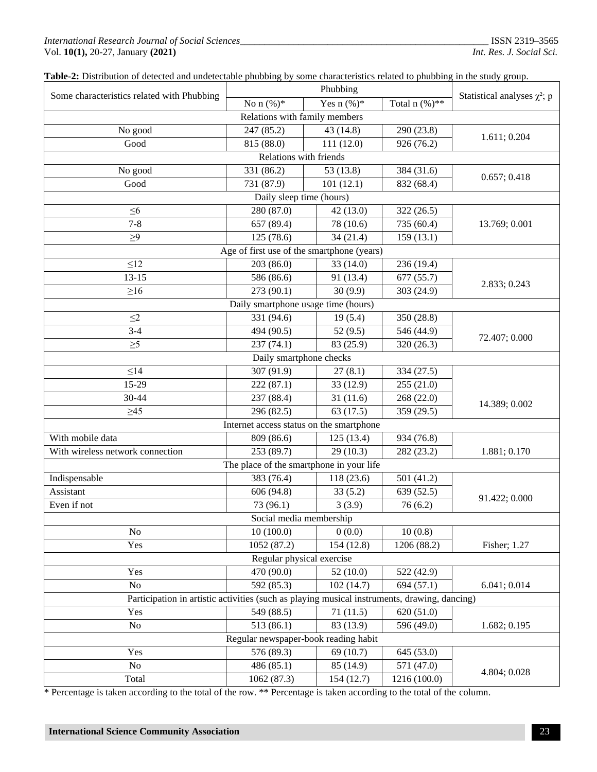### *International Research Journal of Social Sciences\_\_\_\_\_\_\_\_\_\_\_\_\_\_\_\_\_\_\_\_\_\_\_\_\_\_\_\_\_\_\_\_\_\_\_\_\_\_\_\_\_\_\_\_\_\_\_\_\_\_\_* ISSN 2319–3565 Vol. **10(1),** 20-27, January **(2021)** *Int. Res. J. Social Sci.*

|                                                                                              | Phubbing                                   |              |                 |                                   |  |  |  |  |
|----------------------------------------------------------------------------------------------|--------------------------------------------|--------------|-----------------|-----------------------------------|--|--|--|--|
| Some characteristics related with Phubbing                                                   | No $n (%)^*$                               | Yes $n$ (%)* | Total $n$ (%)** | Statistical analyses $\chi^2$ ; p |  |  |  |  |
| Relations with family members                                                                |                                            |              |                 |                                   |  |  |  |  |
| No good                                                                                      | 247 (85.2)                                 | 43 (14.8)    | 290 (23.8)      |                                   |  |  |  |  |
| Good                                                                                         | 815 (88.0)                                 | 111(12.0)    | 926 (76.2)      | 1.611; 0.204                      |  |  |  |  |
| Relations with friends                                                                       |                                            |              |                 |                                   |  |  |  |  |
| No good                                                                                      | 331 (86.2)<br>53 (13.8)<br>384 (31.6)      |              |                 |                                   |  |  |  |  |
| Good                                                                                         | 731 (87.9)                                 | 101(12.1)    | 832 (68.4)      | 0.657; 0.418                      |  |  |  |  |
|                                                                                              | Daily sleep time (hours)                   |              |                 |                                   |  |  |  |  |
| $\leq 6$                                                                                     | 280 (87.0)                                 | 42 (13.0)    | 322 (26.5)      |                                   |  |  |  |  |
| $7 - 8$                                                                                      | 657 (89.4)                                 | 78 (10.6)    | 735 (60.4)      | 13.769; 0.001                     |  |  |  |  |
| $\geq 9$                                                                                     | 125(78.6)                                  | 34(21.4)     | 159(13.1)       |                                   |  |  |  |  |
|                                                                                              | Age of first use of the smartphone (years) |              |                 |                                   |  |  |  |  |
| $\leq$ 12                                                                                    | 203 (86.0)                                 | 33 (14.0)    | 236 (19.4)      |                                   |  |  |  |  |
| $13 - 15$                                                                                    | 586 (86.6)                                 | 91 (13.4)    | 677 (55.7)      |                                   |  |  |  |  |
| $\geq 16$                                                                                    | 273 (90.1)                                 | 30(9.9)      | 303 (24.9)      | 2.833; 0.243                      |  |  |  |  |
|                                                                                              | Daily smartphone usage time (hours)        |              |                 |                                   |  |  |  |  |
| $\leq$ 2                                                                                     | 331 (94.6)                                 | 19(5.4)      | 350 (28.8)      |                                   |  |  |  |  |
| $3 - 4$                                                                                      | 494 (90.5)                                 | 52(9.5)      | 546 (44.9)      |                                   |  |  |  |  |
| $\geq 5$                                                                                     | 237(74.1)                                  | 83 (25.9)    | 320 (26.3)      | 72.407; 0.000                     |  |  |  |  |
| Daily smartphone checks                                                                      |                                            |              |                 |                                   |  |  |  |  |
| $\leq$ 14                                                                                    | 307 (91.9)                                 | 27(8.1)      | 334 (27.5)      |                                   |  |  |  |  |
| 15-29                                                                                        | 222(87.1)                                  | 33 (12.9)    | 255 (21.0)      |                                   |  |  |  |  |
| 30-44                                                                                        | 237 (88.4)                                 | 31(11.6)     | 268 (22.0)      |                                   |  |  |  |  |
| $\geq45$                                                                                     | 296 (82.5)                                 | 63(17.5)     | 359 (29.5)      | 14.389; 0.002                     |  |  |  |  |
| Internet access status on the smartphone                                                     |                                            |              |                 |                                   |  |  |  |  |
| With mobile data                                                                             | 809 (86.6)                                 | 125(13.4)    | 934 (76.8)      |                                   |  |  |  |  |
| With wireless network connection                                                             | 253 (89.7)                                 | 29(10.3)     | 282 (23.2)      | 1.881; 0.170                      |  |  |  |  |
| The place of the smartphone in your life                                                     |                                            |              |                 |                                   |  |  |  |  |
| Indispensable                                                                                | 383 (76.4)                                 | 118 (23.6)   | 501 (41.2)      |                                   |  |  |  |  |
| Assistant                                                                                    | 606 (94.8)                                 | 33(5.2)      | 639 (52.5)      |                                   |  |  |  |  |
| Even if not                                                                                  | 73 (96.1)                                  | 3(3.9)       | 76(6.2)         | 91.422; 0.000                     |  |  |  |  |
| Social media membership                                                                      |                                            |              |                 |                                   |  |  |  |  |
| No                                                                                           | 10(100.0)                                  | 0(0.0)       | 10(0.8)         |                                   |  |  |  |  |
| Yes                                                                                          | 1052 (87.2)                                | 154 (12.8)   | 1206 (88.2)     | Fisher; 1.27                      |  |  |  |  |
| Regular physical exercise                                                                    |                                            |              |                 |                                   |  |  |  |  |
| Yes                                                                                          | 470 (90.0)                                 | 52(10.0)     | 522 (42.9)      |                                   |  |  |  |  |
| N <sub>o</sub>                                                                               | 592 (85.3)                                 | 102(14.7)    | 694 (57.1)      | 6.041; 0.014                      |  |  |  |  |
| Participation in artistic activities (such as playing musical instruments, drawing, dancing) |                                            |              |                 |                                   |  |  |  |  |
| Yes                                                                                          | 549 (88.5)                                 | 71(11.5)     | 620 (51.0)      |                                   |  |  |  |  |
| No                                                                                           | 513(86.1)                                  | 83 (13.9)    | 596 (49.0)      | 1.682; 0.195                      |  |  |  |  |
| Regular newspaper-book reading habit                                                         |                                            |              |                 |                                   |  |  |  |  |
| Yes                                                                                          | 576 (89.3)                                 | 69 (10.7)    | 645 (53.0)      |                                   |  |  |  |  |
| No                                                                                           | 486 (85.1)                                 | 85 (14.9)    | 571 (47.0)      | 4.804; 0.028                      |  |  |  |  |
| Total                                                                                        | 1062 (87.3)                                | 154(12.7)    | 1216 (100.0)    |                                   |  |  |  |  |

\* Percentage is taken according to the total of the row. \*\* Percentage is taken according to the total of the column.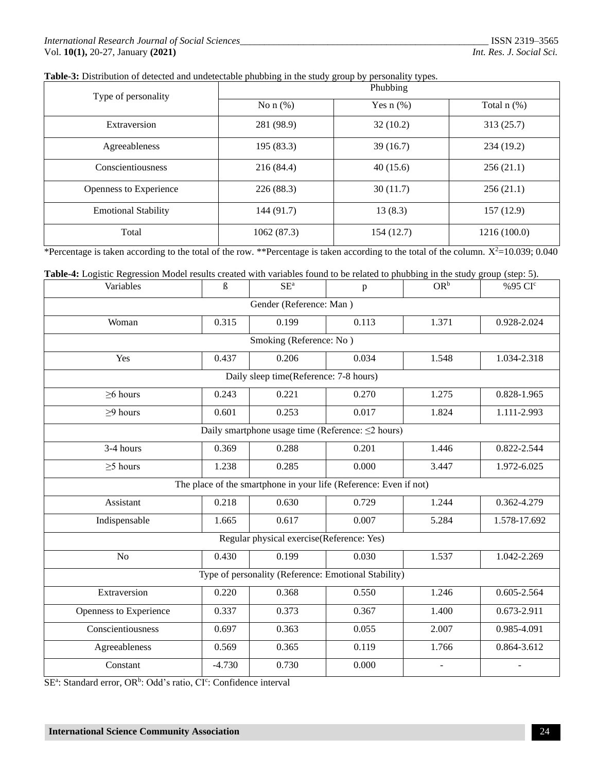| Table-3: Distribution of detected and undetectable phubbing in the study group by personality types. |
|------------------------------------------------------------------------------------------------------|
|                                                                                                      |

| Type of personality        | Phubbing      |                |                  |  |
|----------------------------|---------------|----------------|------------------|--|
|                            | No $n$ $(\%)$ | Yes $n$ $(\%)$ | Total $n$ $(\%)$ |  |
| Extraversion               | 281 (98.9)    | 32(10.2)       | 313(25.7)        |  |
| Agreeableness              | 195(83.3)     | 39(16.7)       | 234(19.2)        |  |
| Conscientiousness          | 216(84.4)     | 40(15.6)       | 256(21.1)        |  |
| Openness to Experience     | 226(88.3)     | 30(11.7)       | 256(21.1)        |  |
| <b>Emotional Stability</b> | 144(91.7)     | 13(8.3)        | 157(12.9)        |  |
| Total                      | 1062(87.3)    | 154(12.7)      | 1216 (100.0)     |  |

\*Percentage is taken according to the total of the row. \*\*Percentage is taken according to the total of the column.  $X^2$ =10.039; 0.040

| Table-4: Logistic Regression Model results created with variables found to be related to phubbing in the study group (step: 5). |  |
|---------------------------------------------------------------------------------------------------------------------------------|--|
|                                                                                                                                 |  |
|                                                                                                                                 |  |
|                                                                                                                                 |  |

| Variables                                                         | ß        | $SE^a$                                 | $\mathbf{p}$ | $OR^b$ | %95 CI <sup>c</sup> |
|-------------------------------------------------------------------|----------|----------------------------------------|--------------|--------|---------------------|
| Gender (Reference: Man)                                           |          |                                        |              |        |                     |
| Woman                                                             | 0.315    | 0.199                                  | 0.113        | 1.371  | 0.928-2.024         |
|                                                                   |          | Smoking (Reference: No)                |              |        |                     |
| Yes                                                               | 0.437    | 0.206                                  | 0.034        | 1.548  | 1.034-2.318         |
|                                                                   |          | Daily sleep time(Reference: 7-8 hours) |              |        |                     |
| $\geq$ 6 hours                                                    | 0.243    | 0.221                                  | 0.270        | 1.275  | 0.828-1.965         |
| $\geq$ 9 hours                                                    | 0.601    | 0.253                                  | 0.017        | 1.824  | 1.111-2.993         |
| Daily smartphone usage time (Reference: $\leq$ 2 hours)           |          |                                        |              |        |                     |
| 3-4 hours                                                         | 0.369    | 0.288                                  | 0.201        | 1.446  | 0.822-2.544         |
| $\geq$ 5 hours                                                    | 1.238    | 0.285                                  | 0.000        | 3.447  | 1.972-6.025         |
| The place of the smartphone in your life (Reference: Even if not) |          |                                        |              |        |                     |
| Assistant                                                         | 0.218    | 0.630                                  | 0.729        | 1.244  | 0.362-4.279         |
| Indispensable                                                     | 1.665    | 0.617                                  | 0.007        | 5.284  | 1.578-17.692        |
| Regular physical exercise(Reference: Yes)                         |          |                                        |              |        |                     |
| No                                                                | 0.430    | 0.199                                  | 0.030        | 1.537  | 1.042-2.269         |
| Type of personality (Reference: Emotional Stability)              |          |                                        |              |        |                     |
| Extraversion                                                      | 0.220    | 0.368                                  | 0.550        | 1.246  | 0.605-2.564         |
| Openness to Experience                                            | 0.337    | 0.373                                  | 0.367        | 1.400  | 0.673-2.911         |
| Conscientiousness                                                 | 0.697    | 0.363                                  | 0.055        | 2.007  | 0.985-4.091         |
| Agreeableness                                                     | 0.569    | 0.365                                  | 0.119        | 1.766  | 0.864-3.612         |
| Constant                                                          | $-4.730$ | 0.730                                  | 0.000        | ÷,     |                     |

SE<sup>a</sup>: Standard error, OR<sup>b</sup>: Odd's ratio, CI<sup>c</sup>: Confidence interval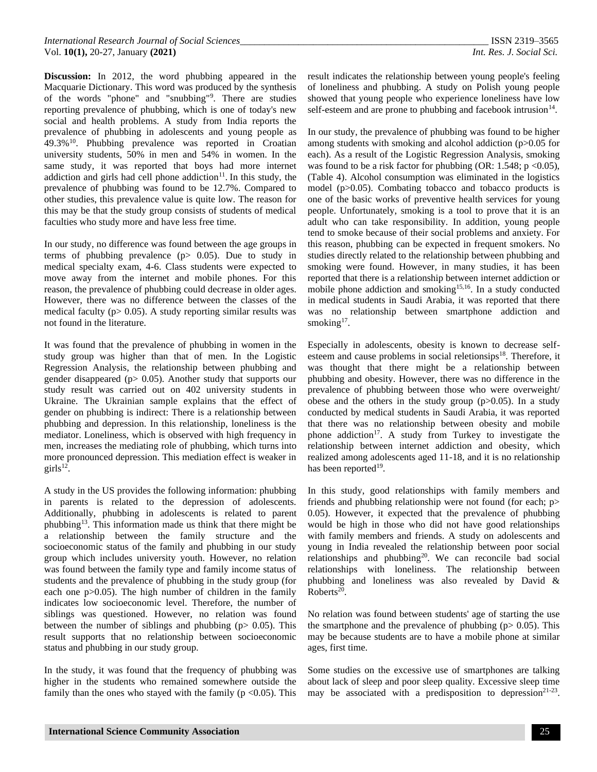**Discussion:** In 2012, the word phubbing appeared in the Macquarie Dictionary. This word was produced by the synthesis of the words "phone" and "snubbing"<sup>9</sup> . There are studies reporting prevalence of phubbing, which is one of today's new social and health problems. A study from India reports the prevalence of phubbing in adolescents and young people as 49.3%<sup>10</sup> . Phubbing prevalence was reported in Croatian university students, 50% in men and 54% in women. In the same study, it was reported that boys had more internet addiction and girls had cell phone addiction $11$ . In this study, the prevalence of phubbing was found to be 12.7%. Compared to other studies, this prevalence value is quite low. The reason for this may be that the study group consists of students of medical faculties who study more and have less free time.

In our study, no difference was found between the age groups in terms of phubbing prevalence  $(p > 0.05)$ . Due to study in medical specialty exam, 4-6. Class students were expected to move away from the internet and mobile phones. For this reason, the prevalence of phubbing could decrease in older ages. However, there was no difference between the classes of the medical faculty ( $p > 0.05$ ). A study reporting similar results was not found in the literature.

It was found that the prevalence of phubbing in women in the study group was higher than that of men. In the Logistic Regression Analysis, the relationship between phubbing and gender disappeared ( $p$  > 0.05). Another study that supports our study result was carried out on 402 university students in Ukraine. The Ukrainian sample explains that the effect of gender on phubbing is indirect: There is a relationship between phubbing and depression. In this relationship, loneliness is the mediator. Loneliness, which is observed with high frequency in men, increases the mediating role of phubbing, which turns into more pronounced depression. This mediation effect is weaker in  $girls<sup>12</sup>$ .

A study in the US provides the following information: phubbing in parents is related to the depression of adolescents. Additionally, phubbing in adolescents is related to parent phubbing<sup>13</sup>. This information made us think that there might be a relationship between the family structure and the socioeconomic status of the family and phubbing in our study group which includes university youth. However, no relation was found between the family type and family income status of students and the prevalence of phubbing in the study group (for each one p>0.05). The high number of children in the family indicates low socioeconomic level. Therefore, the number of siblings was questioned. However, no relation was found between the number of siblings and phubbing ( $p > 0.05$ ). This result supports that no relationship between socioeconomic status and phubbing in our study group.

In the study, it was found that the frequency of phubbing was higher in the students who remained somewhere outside the family than the ones who stayed with the family ( $p \le 0.05$ ). This result indicates the relationship between young people's feeling of loneliness and phubbing. A study on Polish young people showed that young people who experience loneliness have low self-esteem and are prone to phubbing and facebook intrusion<sup>14</sup>.

In our study, the prevalence of phubbing was found to be higher among students with smoking and alcohol addiction (p>0.05 for each). As a result of the Logistic Regression Analysis, smoking was found to be a risk factor for phubbing (OR: 1.548;  $p \le 0.05$ ), (Table 4). Alcohol consumption was eliminated in the logistics model (p>0.05). Combating tobacco and tobacco products is one of the basic works of preventive health services for young people. Unfortunately, smoking is a tool to prove that it is an adult who can take responsibility. In addition, young people tend to smoke because of their social problems and anxiety. For this reason, phubbing can be expected in frequent smokers. No studies directly related to the relationship between phubbing and smoking were found. However, in many studies, it has been reported that there is a relationship between internet addiction or mobile phone addiction and smoking<sup>15,16</sup>. In a study conducted in medical students in Saudi Arabia, it was reported that there was no relationship between smartphone addiction and smoking $17$ .

Especially in adolescents, obesity is known to decrease selfesteem and cause problems in social reletionsips<sup>18</sup>. Therefore, it was thought that there might be a relationship between phubbing and obesity. However, there was no difference in the prevalence of phubbing between those who were overweight/ obese and the others in the study group  $(p>0.05)$ . In a study conducted by medical students in Saudi Arabia, it was reported that there was no relationship between obesity and mobile phone addiction<sup>17</sup>. A study from Turkey to investigate the relationship between internet addiction and obesity, which realized among adolescents aged 11-18, and it is no relationship has been reported<sup>19</sup>.

In this study, good relationships with family members and friends and phubbing relationship were not found (for each; p> 0.05). However, it expected that the prevalence of phubbing would be high in those who did not have good relationships with family members and friends. A study on adolescents and young in India revealed the relationship between poor social relationships and phubbing<sup>20</sup>. We can reconcile bad social relationships with loneliness. The relationship between phubbing and loneliness was also revealed by David & Roberts<sup>20</sup>.

No relation was found between students' age of starting the use the smartphone and the prevalence of phubbing ( $p > 0.05$ ). This may be because students are to have a mobile phone at similar ages, first time.

Some studies on the excessive use of smartphones are talking about lack of sleep and poor sleep quality. Excessive sleep time may be associated with a predisposition to depression<sup>21-23</sup>.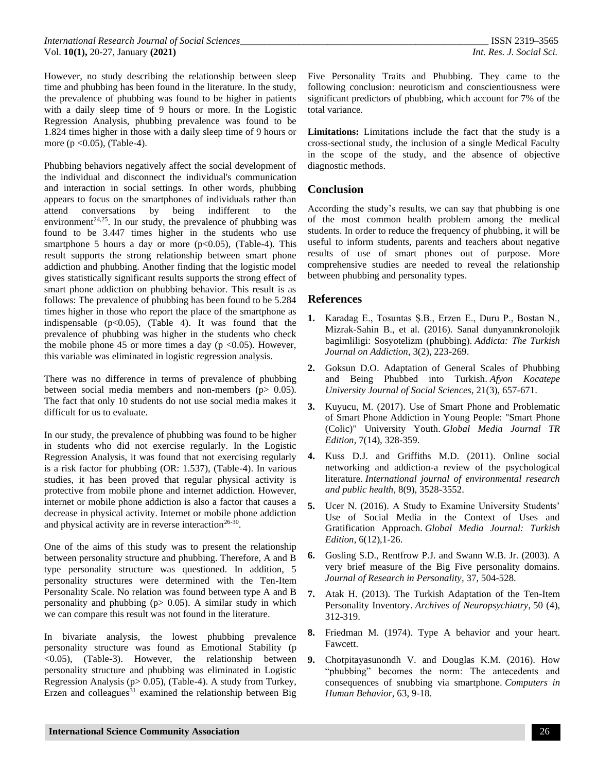However, no study describing the relationship between sleep time and phubbing has been found in the literature. In the study, the prevalence of phubbing was found to be higher in patients with a daily sleep time of 9 hours or more. In the Logistic Regression Analysis, phubbing prevalence was found to be 1.824 times higher in those with a daily sleep time of 9 hours or more ( $p < 0.05$ ), (Table-4).

Phubbing behaviors negatively affect the social development of the individual and disconnect the individual's communication and interaction in social settings. In other words, phubbing appears to focus on the smartphones of individuals rather than attend conversations by being indifferent to the environment<sup>24,25</sup>. In our study, the prevalence of phubbing was found to be 3.447 times higher in the students who use smartphone 5 hours a day or more ( $p<0.05$ ), (Table-4). This result supports the strong relationship between smart phone addiction and phubbing. Another finding that the logistic model gives statistically significant results supports the strong effect of smart phone addiction on phubbing behavior. This result is as follows: The prevalence of phubbing has been found to be 5.284 times higher in those who report the place of the smartphone as indispensable  $(p<0.05)$ , (Table 4). It was found that the prevalence of phubbing was higher in the students who check the mobile phone 45 or more times a day ( $p \le 0.05$ ). However, this variable was eliminated in logistic regression analysis.

There was no difference in terms of prevalence of phubbing between social media members and non-members (p > 0.05). The fact that only 10 students do not use social media makes it difficult for us to evaluate.

In our study, the prevalence of phubbing was found to be higher in students who did not exercise regularly. In the Logistic Regression Analysis, it was found that not exercising regularly is a risk factor for phubbing (OR: 1.537), (Table-4). In various studies, it has been proved that regular physical activity is protective from mobile phone and internet addiction. However, internet or mobile phone addiction is also a factor that causes a decrease in physical activity. Internet or mobile phone addiction and physical activity are in reverse interaction<sup>26-30</sup>.

One of the aims of this study was to present the relationship between personality structure and phubbing. Therefore, A and B type personality structure was questioned. In addition, 5 personality structures were determined with the Ten-Item Personality Scale. No relation was found between type A and B personality and phubbing  $(p > 0.05)$ . A similar study in which we can compare this result was not found in the literature.

In bivariate analysis, the lowest phubbing prevalence personality structure was found as Emotional Stability (p <0.05), (Table-3). However, the relationship between personality structure and phubbing was eliminated in Logistic Regression Analysis ( $p > 0.05$ ), (Table-4). A study from Turkey, Erzen and colleagues $31$  examined the relationship between Big

Five Personality Traits and Phubbing. They came to the following conclusion: neuroticism and conscientiousness were significant predictors of phubbing, which account for 7% of the total variance.

**Limitations:** Limitations include the fact that the study is a cross-sectional study, the inclusion of a single Medical Faculty in the scope of the study, and the absence of objective diagnostic methods.

# **Conclusion**

According the study's results, we can say that phubbing is one of the most common health problem among the medical students. In order to reduce the frequency of phubbing, it will be useful to inform students, parents and teachers about negative results of use of smart phones out of purpose. More comprehensive studies are needed to reveal the relationship between phubbing and personality types.

## **References**

- **1.** Karadag E., Tosuntas Ş.B., Erzen E., Duru P., Bostan N., Mizrak-Sahin B., et al. (2016). Sanal dunyanınkronolojik bagimliligi: Sosyotelizm (phubbing). *Addicta: The Turkish Journal on Addiction*, 3(2), 223-269.
- **2.** Goksun D.O. Adaptation of General Scales of Phubbing and Being Phubbed into Turkish. *Afyon Kocatepe University Journal of Social Sciences*, 21(3), 657-671.
- **3.** Kuyucu, M. (2017). Use of Smart Phone and Problematic of Smart Phone Addiction in Young People: "Smart Phone (Colic)" University Youth. *Global Media Journal TR Edition*, 7(14), 328-359.
- **4.** Kuss D.J. and Griffiths M.D. (2011). Online social networking and addiction-a review of the psychological literature. *International journal of environmental research and public health*, 8(9), 3528-3552.
- **5.** Ucer N. (2016). A Study to Examine University Students' Use of Social Media in the Context of Uses and Gratification Approach. *Global Media Journal: Turkish Edition*, 6(12),1-26.
- **6.** Gosling S.D., Rentfrow P.J. and Swann W.B. Jr. (2003). A very brief measure of the Big Five personality domains. *Journal of Research in Personality,* 37, 504-528.
- **7.** Atak H. (2013). The Turkish Adaptation of the Ten-Item Personality Inventory. *Archives of Neuropsychiatry*, 50 (4), 312-319.
- **8.** Friedman M. (1974). Type A behavior and your heart. Fawcett.
- **9.** Chotpitayasunondh V. and Douglas K.M. (2016). How "phubbing" becomes the norm: The antecedents and consequences of snubbing via smartphone. *Computers in Human Behavior*, 63, 9-18.